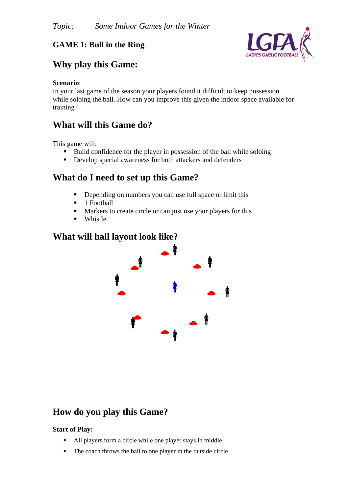### **GAME 1: Bull in the Ring**



## **Why play this Game:**

#### **Scenario**:

In your last game of the season your players found it difficult to keep possession while soloing the ball. How can you improve this given the indoor space available for training?

### **What will this Game do?**

This game will:

- Build confidence for the player in possession of the ball while soloing
- Develop special awareness for both attackers and defenders

## **What do I need to set up this Game?**

- Depending on numbers you can use full space or limit this
- 1 Football
- **Markers to create circle or can just use your players for this**
- **u** Whistle

#### **What will hall layout look like?**



## **How do you play this Game?**

#### **Start of Play:**

- All players form a circle while one player stays in middle
- The coach throws the ball to one player in the outside circle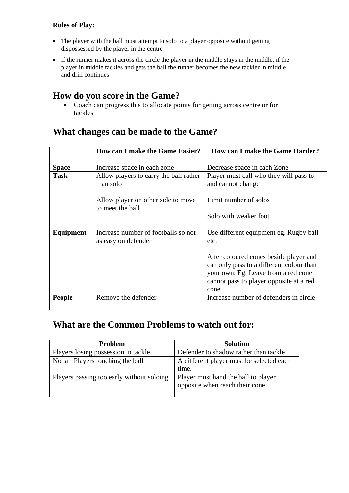#### **Rules of Play:**

- The player with the ball must attempt to solo to a player opposite without getting dispossessed by the player in the centre
- If the runner makes it across the circle the player in the middle stays in the middle, if the player in middle tackles and gets the ball the runner becomes the new tackler in middle and drill continues

### **How do you score in the Game?**

Coach can progress this to allocate points for getting across centre or for tackles

|               | <b>How can I make the Game Easier?</b>                     | <b>How can I make the Game Harder?</b>                                                                                                                                       |
|---------------|------------------------------------------------------------|------------------------------------------------------------------------------------------------------------------------------------------------------------------------------|
| <b>Space</b>  | Increase space in each zone                                | Decrease space in each Zone                                                                                                                                                  |
| <b>Task</b>   | Allow players to carry the ball rather<br>than solo        | Player must call who they will pass to<br>and cannot change                                                                                                                  |
|               | Allow player on other side to move<br>to meet the ball     | Limit number of solos                                                                                                                                                        |
|               |                                                            | Solo with weaker foot                                                                                                                                                        |
| Equipment     | Increase number of footballs so not<br>as easy on defender | Use different equipment eg. Rugby ball<br>etc.                                                                                                                               |
|               |                                                            | Alter coloured cones beside player and<br>can only pass to a different colour than<br>your own. Eg. Leave from a red cone<br>cannot pass to player opposite at a red<br>cone |
| <b>People</b> | Remove the defender                                        | Increase number of defenders in circle                                                                                                                                       |

## **What changes can be made to the Game?**

## **What are the Common Problems to watch out for:**

| <b>Problem</b>                            | <b>Solution</b>                                                       |
|-------------------------------------------|-----------------------------------------------------------------------|
| Players losing possession in tackle       | Defender to shadow rather than tackle                                 |
| Not all Players touching the ball         | A different player must be selected each                              |
|                                           | time.                                                                 |
| Players passing too early without soloing | Player must hand the ball to player<br>opposite when reach their cone |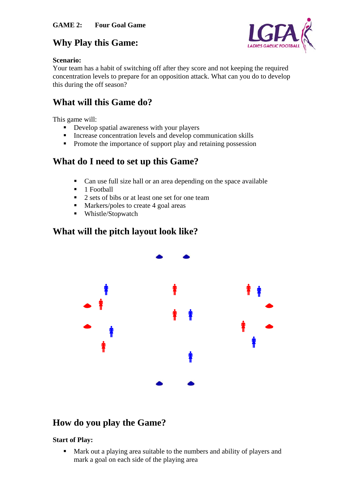

## **Why Play this Game:**

#### **Scenario:**

Your team has a habit of switching off after they score and not keeping the required concentration levels to prepare for an opposition attack. What can you do to develop this during the off season?

# **What will this Game do?**

This game will:

- Develop spatial awareness with your players
- **Increase concentration levels and develop communication skills**
- Promote the importance of support play and retaining possession

# **What do I need to set up this Game?**

- Can use full size hall or an area depending on the space available
- $\blacksquare$  1 Football
- 2 sets of bibs or at least one set for one team
- Markers/poles to create 4 goal areas
- Whistle/Stopwatch

## **What will the pitch layout look like?**



# **How do you play the Game?**

#### **Start of Play:**

 Mark out a playing area suitable to the numbers and ability of players and mark a goal on each side of the playing area